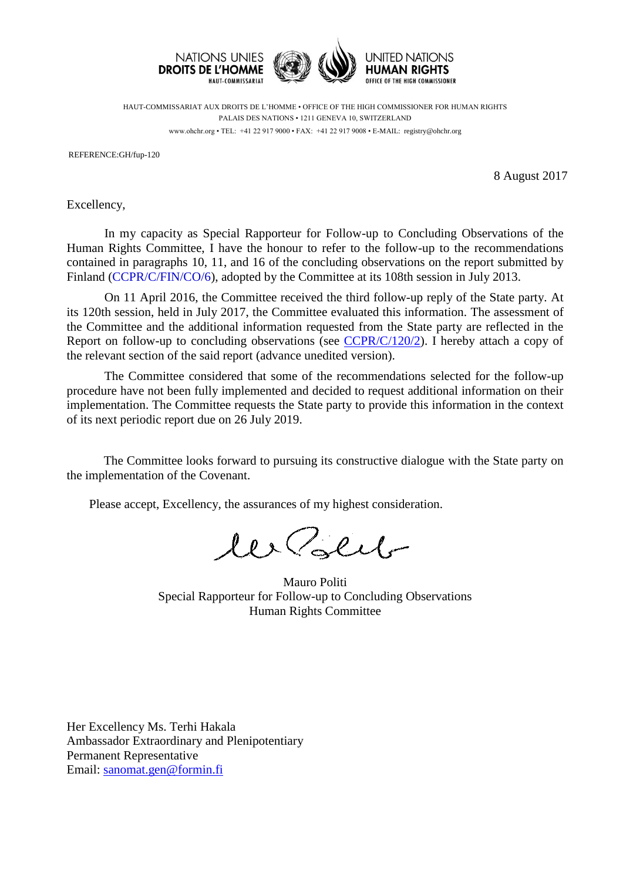

HAUT-COMMISSARIAT AUX DROITS DE L'HOMME • OFFICE OF THE HIGH COMMISSIONER FOR HUMAN RIGHTS PALAIS DES NATIONS • 1211 GENEVA 10, SWITZERLAND www.ohchr.org • TEL: +41 22 917 9000 • FAX: +41 22 917 9008 • E-MAIL: registry@ohchr.org

REFERENCE:GH/fup-120

8 August 2017

Excellency,

In my capacity as Special Rapporteur for Follow-up to Concluding Observations of the Human Rights Committee, I have the honour to refer to the follow-up to the recommendations contained in paragraphs 10, 11, and 16 of the concluding observations on the report submitted by Finland [\(CCPR/C/FIN/CO/6\)](http://tbinternet.ohchr.org/_layouts/treatybodyexternal/Download.aspx?symbolno=CCPR%2fC%2fFIN%2fCO%2f6&Lang=en), adopted by the Committee at its 108th session in July 2013.

On 11 April 2016, the Committee received the third follow-up reply of the State party. At its 120th session, held in July 2017, the Committee evaluated this information. The assessment of the Committee and the additional information requested from the State party are reflected in the Report on follow-up to concluding observations (see  $\frac{CCPR}{C/120/2}$ ). I hereby attach a copy of the relevant section of the said report (advance unedited version).

The Committee considered that some of the recommendations selected for the follow-up procedure have not been fully implemented and decided to request additional information on their implementation. The Committee requests the State party to provide this information in the context of its next periodic report due on 26 July 2019.

The Committee looks forward to pursuing its constructive dialogue with the State party on the implementation of the Covenant.

Please accept, Excellency, the assurances of my highest consideration.

les Polit

Mauro Politi Special Rapporteur for Follow-up to Concluding Observations Human Rights Committee

Her Excellency Ms. Terhi Hakala Ambassador Extraordinary and Plenipotentiary Permanent Representative Email: [sanomat.gen@formin.fi](mailto:sanomat.gen@formin.fi)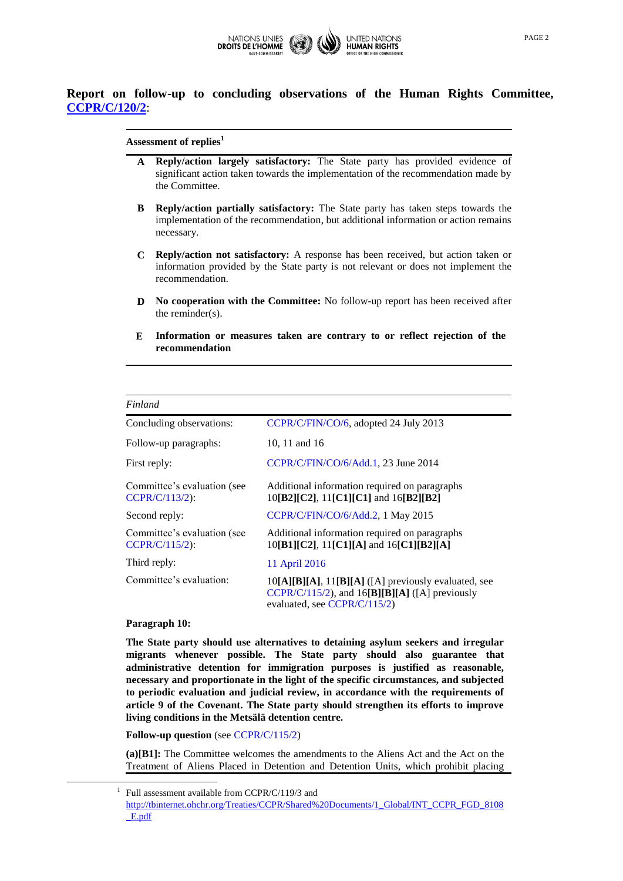

# **Report on follow-up to concluding observations of the Human Rights Committee, [CCPR/C/120/2](http://tbinternet.ohchr.org/_layouts/treatybodyexternal/Download.aspx?symbolno=CCPR%2fC%2f120%2f2&Lang=en)**:

### **Assessment of replies<sup>1</sup>**

- **A Reply/action largely satisfactory:** The State party has provided evidence of significant action taken towards the implementation of the recommendation made by the Committee.
- **B Reply/action partially satisfactory:** The State party has taken steps towards the implementation of the recommendation, but additional information or action remains necessary.
- **C Reply/action not satisfactory:** A response has been received, but action taken or information provided by the State party is not relevant or does not implement the recommendation.
- **D No cooperation with the Committee:** No follow-up report has been received after the reminder(s).
- **E Information or measures taken are contrary to or reflect rejection of the recommendation**

| Finland                                         |                                                                                                                                               |
|-------------------------------------------------|-----------------------------------------------------------------------------------------------------------------------------------------------|
| Concluding observations:                        | CCPR/C/FIN/CO/6, adopted 24 July 2013                                                                                                         |
| Follow-up paragraphs:                           | 10, 11 and 16                                                                                                                                 |
| First reply:                                    | CCPR/C/FIN/CO/6/Add.1, 23 June 2014                                                                                                           |
| Committee's evaluation (see<br>$CCPR/C/113/2$ : | Additional information required on paragraphs<br>10[B2][C2], 11[C1][C1] and 16[B2][B2]                                                        |
| Second reply:                                   | CCPR/C/FIN/CO/6/Add.2, 1 May 2015                                                                                                             |
| Committee's evaluation (see<br>$CCPR/C/115/2$ : | Additional information required on paragraphs<br>10[B1][C2], 11[C1][A] and 16[C1][B2][A]                                                      |
| Third reply:                                    | 11 April 2016                                                                                                                                 |
| Committee's evaluation:                         | $10[A][B][A], 11[B][A]$ ([A] previously evaluated, see<br>$CCPR/C/115/2$ , and $16[B][B][A]$ ([A] previously<br>evaluated, see $CCPR/C/115/2$ |

### **Paragraph 10:**

 $\overline{a}$ 

**The State party should use alternatives to detaining asylum seekers and irregular migrants whenever possible. The State party should also guarantee that administrative detention for immigration purposes is justified as reasonable, necessary and proportionate in the light of the specific circumstances, and subjected to periodic evaluation and judicial review, in accordance with the requirements of article 9 of the Covenant. The State party should strengthen its efforts to improve living conditions in the Metsälä detention centre.** 

**Follow-up question** (see [CCPR/C/115/2\)](http://tbinternet.ohchr.org/_layouts/treatybodyexternal/Download.aspx?symbolno=CCPR%2fC%2f115%2f2&Lang=en)

**(a)[B1]:** The Committee welcomes the amendments to the Aliens Act and the Act on the Treatment of Aliens Placed in Detention and Detention Units, which prohibit placing

<sup>1</sup> Full assessment available from CCPR/C/119/3 and

[http://tbinternet.ohchr.org/Treaties/CCPR/Shared%20Documents/1\\_Global/INT\\_CCPR\\_FGD\\_8108](http://tbinternet.ohchr.org/Treaties/CCPR/Shared%20Documents/1_Global/INT_CCPR_FGD_8108_E.pdf) [\\_E.pdf](http://tbinternet.ohchr.org/Treaties/CCPR/Shared%20Documents/1_Global/INT_CCPR_FGD_8108_E.pdf)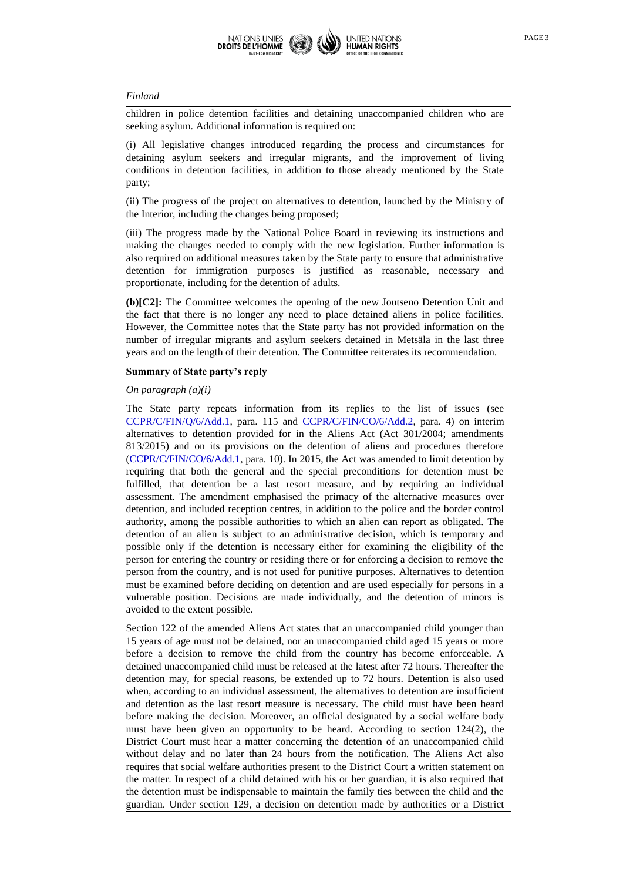children in police detention facilities and detaining unaccompanied children who are seeking asylum. Additional information is required on:

(i) All legislative changes introduced regarding the process and circumstances for detaining asylum seekers and irregular migrants, and the improvement of living conditions in detention facilities, in addition to those already mentioned by the State party;

(ii) The progress of the project on alternatives to detention, launched by the Ministry of the Interior, including the changes being proposed;

(iii) The progress made by the National Police Board in reviewing its instructions and making the changes needed to comply with the new legislation. Further information is also required on additional measures taken by the State party to ensure that administrative detention for immigration purposes is justified as reasonable, necessary and proportionate, including for the detention of adults.

**(b)[C2]:** The Committee welcomes the opening of the new Joutseno Detention Unit and the fact that there is no longer any need to place detained aliens in police facilities. However, the Committee notes that the State party has not provided information on the number of irregular migrants and asylum seekers detained in Metsälä in the last three years and on the length of their detention. The Committee reiterates its recommendation.

# **Summary of State party's reply**

#### *On paragraph (a)(i)*

The State party repeats information from its replies to the list of issues (see [CCPR/C/FIN/Q/6/Add.1,](http://tbinternet.ohchr.org/_layouts/treatybodyexternal/Download.aspx?symbolno=CCPR%2fC%2fFIN%2fQ%2f6%2fAdd.1&Lang=en) para. 115 and [CCPR/C/FIN/CO/6/Add.2,](http://tbinternet.ohchr.org/_layouts/treatybodyexternal/Download.aspx?symbolno=CCPR%2fC%2fFIN%2fCO%2f6%2fAdd.2&Lang=en) para. 4) on interim alternatives to detention provided for in the Aliens Act (Act 301/2004; amendments 813/2015) and on its provisions on the detention of aliens and procedures therefore [\(CCPR/C/FIN/CO/6/Add.1,](http://tbinternet.ohchr.org/_layouts/treatybodyexternal/Download.aspx?symbolno=CCPR%2fC%2fFIN%2fCO%2f6%2fAdd.1&Lang=en) para. 10). In 2015, the Act was amended to limit detention by requiring that both the general and the special preconditions for detention must be fulfilled, that detention be a last resort measure, and by requiring an individual assessment. The amendment emphasised the primacy of the alternative measures over detention, and included reception centres, in addition to the police and the border control authority, among the possible authorities to which an alien can report as obligated. The detention of an alien is subject to an administrative decision, which is temporary and possible only if the detention is necessary either for examining the eligibility of the person for entering the country or residing there or for enforcing a decision to remove the person from the country, and is not used for punitive purposes. Alternatives to detention must be examined before deciding on detention and are used especially for persons in a vulnerable position. Decisions are made individually, and the detention of minors is avoided to the extent possible.

Section 122 of the amended Aliens Act states that an unaccompanied child younger than 15 years of age must not be detained, nor an unaccompanied child aged 15 years or more before a decision to remove the child from the country has become enforceable. A detained unaccompanied child must be released at the latest after 72 hours. Thereafter the detention may, for special reasons, be extended up to 72 hours. Detention is also used when, according to an individual assessment, the alternatives to detention are insufficient and detention as the last resort measure is necessary. The child must have been heard before making the decision. Moreover, an official designated by a social welfare body must have been given an opportunity to be heard. According to section 124(2), the District Court must hear a matter concerning the detention of an unaccompanied child without delay and no later than 24 hours from the notification. The Aliens Act also requires that social welfare authorities present to the District Court a written statement on the matter. In respect of a child detained with his or her guardian, it is also required that the detention must be indispensable to maintain the family ties between the child and the guardian. Under section 129, a decision on detention made by authorities or a District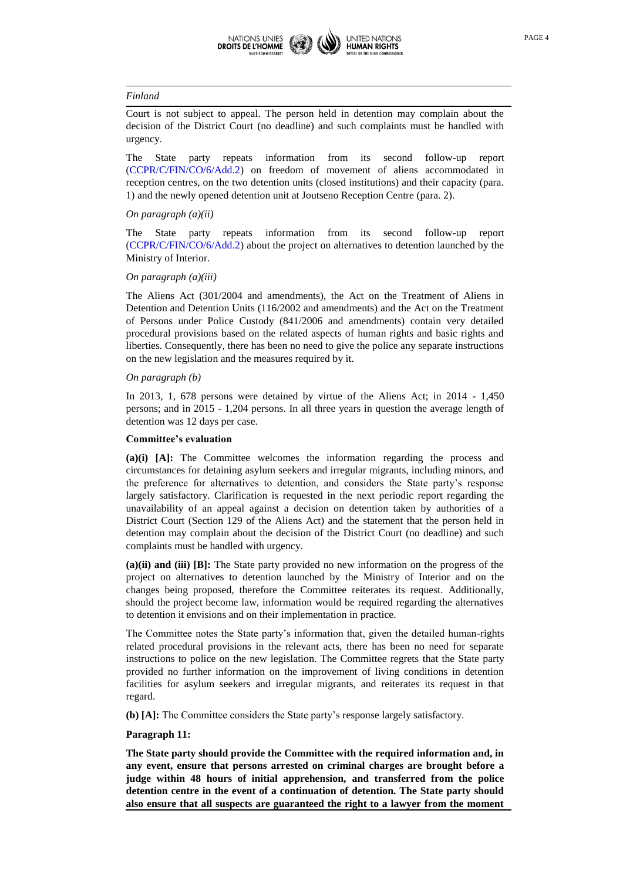

Court is not subject to appeal. The person held in detention may complain about the decision of the District Court (no deadline) and such complaints must be handled with urgency.

The State party repeats information from its second follow-up report [\(CCPR/C/FIN/CO/6/Add.2\)](http://tbinternet.ohchr.org/_layouts/treatybodyexternal/Download.aspx?symbolno=CCPR%2fC%2fFIN%2fCO%2f6%2fAdd.2&Lang=en) on freedom of movement of aliens accommodated in reception centres, on the two detention units (closed institutions) and their capacity (para. 1) and the newly opened detention unit at Joutseno Reception Centre (para. 2).

#### *On paragraph (a)(ii)*

The State party repeats information from its second follow-up report [\(CCPR/C/FIN/CO/6/Add.2\)](http://tbinternet.ohchr.org/_layouts/treatybodyexternal/Download.aspx?symbolno=CCPR%2fC%2fFIN%2fCO%2f6%2fAdd.2&Lang=en) about the project on alternatives to detention launched by the Ministry of Interior.

### *On paragraph (a)(iii)*

The Aliens Act (301/2004 and amendments), the Act on the Treatment of Aliens in Detention and Detention Units (116/2002 and amendments) and the Act on the Treatment of Persons under Police Custody (841/2006 and amendments) contain very detailed procedural provisions based on the related aspects of human rights and basic rights and liberties. Consequently, there has been no need to give the police any separate instructions on the new legislation and the measures required by it.

### *On paragraph (b)*

In 2013, 1, 678 persons were detained by virtue of the Aliens Act; in 2014 - 1,450 persons; and in 2015 - 1,204 persons. In all three years in question the average length of detention was 12 days per case.

### **Committee's evaluation**

**(a)(i) [A]:** The Committee welcomes the information regarding the process and circumstances for detaining asylum seekers and irregular migrants, including minors, and the preference for alternatives to detention, and considers the State party's response largely satisfactory. Clarification is requested in the next periodic report regarding the unavailability of an appeal against a decision on detention taken by authorities of a District Court (Section 129 of the Aliens Act) and the statement that the person held in detention may complain about the decision of the District Court (no deadline) and such complaints must be handled with urgency.

**(a)(ii) and (iii) [B]:** The State party provided no new information on the progress of the project on alternatives to detention launched by the Ministry of Interior and on the changes being proposed, therefore the Committee reiterates its request. Additionally, should the project become law, information would be required regarding the alternatives to detention it envisions and on their implementation in practice.

The Committee notes the State party's information that, given the detailed human-rights related procedural provisions in the relevant acts, there has been no need for separate instructions to police on the new legislation. The Committee regrets that the State party provided no further information on the improvement of living conditions in detention facilities for asylum seekers and irregular migrants, and reiterates its request in that regard.

**(b) [A]:** The Committee considers the State party's response largely satisfactory.

#### **Paragraph 11:**

**The State party should provide the Committee with the required information and, in any event, ensure that persons arrested on criminal charges are brought before a judge within 48 hours of initial apprehension, and transferred from the police detention centre in the event of a continuation of detention. The State party should also ensure that all suspects are guaranteed the right to a lawyer from the moment**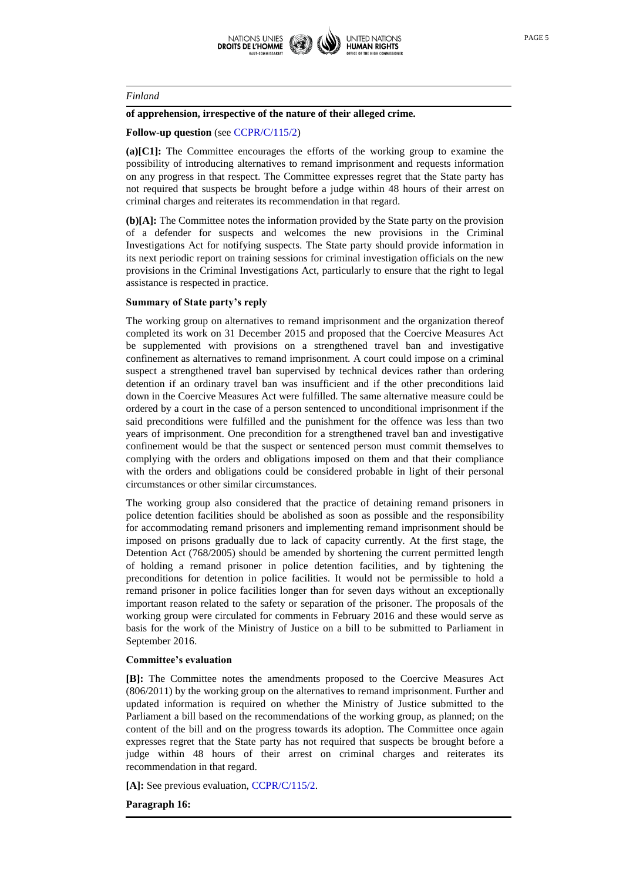

### **of apprehension, irrespective of the nature of their alleged crime.**

### **Follow-up question** (see [CCPR/C/115/2\)](http://tbinternet.ohchr.org/_layouts/treatybodyexternal/Download.aspx?symbolno=CCPR%2fC%2f115%2f2&Lang=en)

**(a)[C1]:** The Committee encourages the efforts of the working group to examine the possibility of introducing alternatives to remand imprisonment and requests information on any progress in that respect. The Committee expresses regret that the State party has not required that suspects be brought before a judge within 48 hours of their arrest on criminal charges and reiterates its recommendation in that regard.

**(b)[A]:** The Committee notes the information provided by the State party on the provision of a defender for suspects and welcomes the new provisions in the Criminal Investigations Act for notifying suspects. The State party should provide information in its next periodic report on training sessions for criminal investigation officials on the new provisions in the Criminal Investigations Act, particularly to ensure that the right to legal assistance is respected in practice.

# **Summary of State party's reply**

The working group on alternatives to remand imprisonment and the organization thereof completed its work on 31 December 2015 and proposed that the Coercive Measures Act be supplemented with provisions on a strengthened travel ban and investigative confinement as alternatives to remand imprisonment. A court could impose on a criminal suspect a strengthened travel ban supervised by technical devices rather than ordering detention if an ordinary travel ban was insufficient and if the other preconditions laid down in the Coercive Measures Act were fulfilled. The same alternative measure could be ordered by a court in the case of a person sentenced to unconditional imprisonment if the said preconditions were fulfilled and the punishment for the offence was less than two years of imprisonment. One precondition for a strengthened travel ban and investigative confinement would be that the suspect or sentenced person must commit themselves to complying with the orders and obligations imposed on them and that their compliance with the orders and obligations could be considered probable in light of their personal circumstances or other similar circumstances.

The working group also considered that the practice of detaining remand prisoners in police detention facilities should be abolished as soon as possible and the responsibility for accommodating remand prisoners and implementing remand imprisonment should be imposed on prisons gradually due to lack of capacity currently. At the first stage, the Detention Act (768/2005) should be amended by shortening the current permitted length of holding a remand prisoner in police detention facilities, and by tightening the preconditions for detention in police facilities. It would not be permissible to hold a remand prisoner in police facilities longer than for seven days without an exceptionally important reason related to the safety or separation of the prisoner. The proposals of the working group were circulated for comments in February 2016 and these would serve as basis for the work of the Ministry of Justice on a bill to be submitted to Parliament in September 2016.

# **Committee's evaluation**

**[B]:** The Committee notes the amendments proposed to the Coercive Measures Act (806/2011) by the working group on the alternatives to remand imprisonment. Further and updated information is required on whether the Ministry of Justice submitted to the Parliament a bill based on the recommendations of the working group, as planned; on the content of the bill and on the progress towards its adoption. The Committee once again expresses regret that the State party has not required that suspects be brought before a judge within 48 hours of their arrest on criminal charges and reiterates its recommendation in that regard.

**[A]:** See previous evaluation[, CCPR/C/115/2.](http://tbinternet.ohchr.org/_layouts/treatybodyexternal/Download.aspx?symbolno=CCPR%2fC%2f115%2f2&Lang=en)

**Paragraph 16:**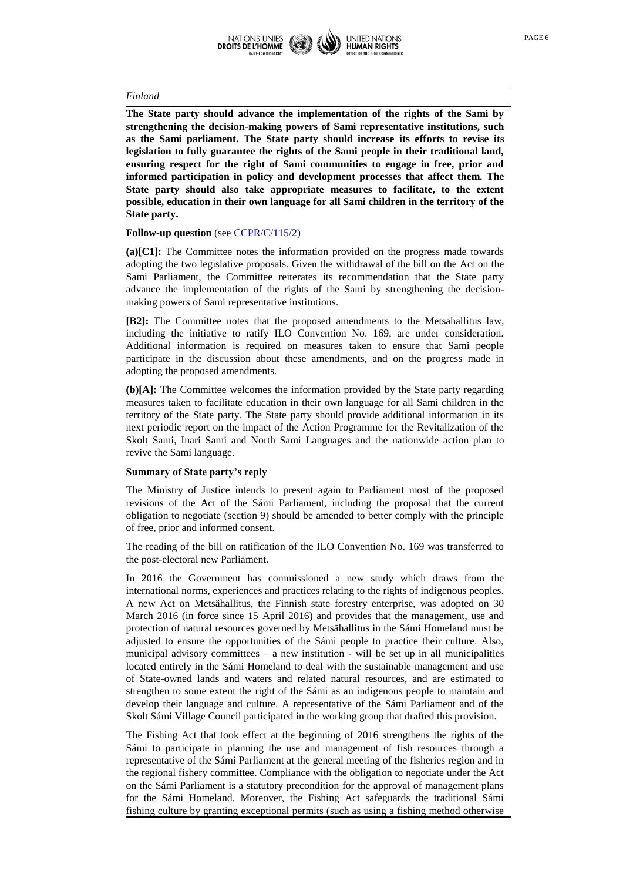

**The State party should advance the implementation of the rights of the Sami by strengthening the decision-making powers of Sami representative institutions, such as the Sami parliament. The State party should increase its efforts to revise its legislation to fully guarantee the rights of the Sami people in their traditional land, ensuring respect for the right of Sami communities to engage in free, prior and informed participation in policy and development processes that affect them. The State party should also take appropriate measures to facilitate, to the extent possible, education in their own language for all Sami children in the territory of the State party.**

### **Follow-up question** (see [CCPR/C/115/2\)](http://tbinternet.ohchr.org/_layouts/treatybodyexternal/Download.aspx?symbolno=CCPR%2fC%2f115%2f2&Lang=en)

**(a)[C1]:** The Committee notes the information provided on the progress made towards adopting the two legislative proposals. Given the withdrawal of the bill on the Act on the Sami Parliament, the Committee reiterates its recommendation that the State party advance the implementation of the rights of the Sami by strengthening the decisionmaking powers of Sami representative institutions.

**[B2]:** The Committee notes that the proposed amendments to the Metsähallitus law, including the initiative to ratify ILO Convention No. 169, are under consideration. Additional information is required on measures taken to ensure that Sami people participate in the discussion about these amendments, and on the progress made in adopting the proposed amendments.

**(b)[A]:** The Committee welcomes the information provided by the State party regarding measures taken to facilitate education in their own language for all Sami children in the territory of the State party. The State party should provide additional information in its next periodic report on the impact of the Action Programme for the Revitalization of the Skolt Sami, Inari Sami and North Sami Languages and the nationwide action plan to revive the Sami language.

#### **Summary of State party's reply**

The Ministry of Justice intends to present again to Parliament most of the proposed revisions of the Act of the Sámi Parliament, including the proposal that the current obligation to negotiate (section 9) should be amended to better comply with the principle of free, prior and informed consent.

The reading of the bill on ratification of the ILO Convention No. 169 was transferred to the post-electoral new Parliament.

In 2016 the Government has commissioned a new study which draws from the international norms, experiences and practices relating to the rights of indigenous peoples. A new Act on Metsähallitus, the Finnish state forestry enterprise, was adopted on 30 March 2016 (in force since 15 April 2016) and provides that the management, use and protection of natural resources governed by Metsähallitus in the Sámi Homeland must be adjusted to ensure the opportunities of the Sámi people to practice their culture. Also, municipal advisory committees  $-$  a new institution  $-$  will be set up in all municipalities located entirely in the Sámi Homeland to deal with the sustainable management and use of State-owned lands and waters and related natural resources, and are estimated to strengthen to some extent the right of the Sámi as an indigenous people to maintain and develop their language and culture. A representative of the Sámi Parliament and of the Skolt Sámi Village Council participated in the working group that drafted this provision.

The Fishing Act that took effect at the beginning of 2016 strengthens the rights of the Sámi to participate in planning the use and management of fish resources through a representative of the Sámi Parliament at the general meeting of the fisheries region and in the regional fishery committee. Compliance with the obligation to negotiate under the Act on the Sámi Parliament is a statutory precondition for the approval of management plans for the Sámi Homeland. Moreover, the Fishing Act safeguards the traditional Sámi fishing culture by granting exceptional permits (such as using a fishing method otherwise